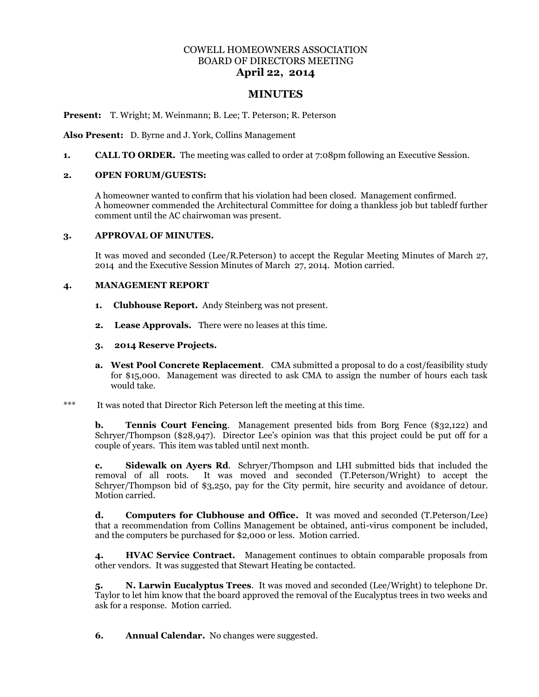## COWELL HOMEOWNERS ASSOCIATION BOARD OF DIRECTORS MEETING **April 22, 2014**

# **MINUTES**

**Present:** T. Wright; M. Weinmann; B. Lee; T. Peterson; R. Peterson

**Also Present:** D. Byrne and J. York, Collins Management

**1. CALL TO ORDER.** The meeting was called to order at 7:08pm following an Executive Session.

#### **2. OPEN FORUM/GUESTS:**

A homeowner wanted to confirm that his violation had been closed. Management confirmed. A homeowner commended the Architectural Committee for doing a thankless job but tabledf further comment until the AC chairwoman was present.

## **3. APPROVAL OF MINUTES.**

It was moved and seconded (Lee/R.Peterson) to accept the Regular Meeting Minutes of March 27, 2014 and the Executive Session Minutes of March 27, 2014. Motion carried.

#### **4. MANAGEMENT REPORT**

- **1. Clubhouse Report.** Andy Steinberg was not present.
- **2. Lease Approvals.** There were no leases at this time.
- **3. 2014 Reserve Projects.**
- **a. West Pool Concrete Replacement**. CMA submitted a proposal to do a cost/feasibility study for \$15,000. Management was directed to ask CMA to assign the number of hours each task would take.
- \*\*\* It was noted that Director Rich Peterson left the meeting at this time.

**b. Tennis Court Fencing**. Management presented bids from Borg Fence (\$32,122) and Schryer/Thompson (\$28,947). Director Lee's opinion was that this project could be put off for a couple of years. This item was tabled until next month.

**c. Sidewalk on Ayers Rd**. Schryer/Thompson and LHI submitted bids that included the removal of all roots. It was moved and seconded (T.Peterson/Wright) to accept the Schryer/Thompson bid of \$3,250, pay for the City permit, hire security and avoidance of detour. Motion carried.

**d. Computers for Clubhouse and Office.** It was moved and seconded (T.Peterson/Lee) that a recommendation from Collins Management be obtained, anti-virus component be included, and the computers be purchased for \$2,000 or less. Motion carried.

**4. HVAC Service Contract.** Management continues to obtain comparable proposals from other vendors. It was suggested that Stewart Heating be contacted.

**5. N. Larwin Eucalyptus Trees**. It was moved and seconded (Lee/Wright) to telephone Dr. Taylor to let him know that the board approved the removal of the Eucalyptus trees in two weeks and ask for a response. Motion carried.

**6. Annual Calendar.** No changes were suggested.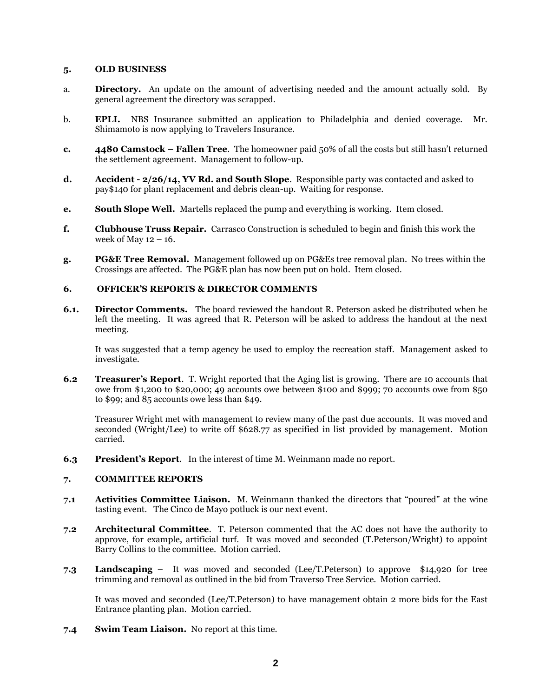## **5. OLD BUSINESS**

- a. **Directory.** An update on the amount of advertising needed and the amount actually sold. By general agreement the directory was scrapped.
- b. **EPLI.** NBS Insurance submitted an application to Philadelphia and denied coverage. Mr. Shimamoto is now applying to Travelers Insurance.
- **c. 4480 Camstock – Fallen Tree**. The homeowner paid 50% of all the costs but still hasn't returned the settlement agreement. Management to follow-up.
- **d. Accident - 2/26/14, YV Rd. and South Slope**. Responsible party was contacted and asked to pay\$140 for plant replacement and debris clean-up. Waiting for response.
- **e. South Slope Well.** Martells replaced the pump and everything is working. Item closed.
- **f. Clubhouse Truss Repair.** Carrasco Construction is scheduled to begin and finish this work the week of May  $12 - 16$ .
- **g. PG&E Tree Removal.** Management followed up on PG&Es tree removal plan. No trees within the Crossings are affected. The PG&E plan has now been put on hold. Item closed.

## **6. OFFICER'S REPORTS & DIRECTOR COMMENTS**

**6.1. Director Comments.** The board reviewed the handout R. Peterson asked be distributed when he left the meeting. It was agreed that R. Peterson will be asked to address the handout at the next meeting.

It was suggested that a temp agency be used to employ the recreation staff. Management asked to investigate.

**6.2 Treasurer's Report**. T. Wright reported that the Aging list is growing. There are 10 accounts that owe from \$1,200 to \$20,000; 49 accounts owe between \$100 and \$999; 70 accounts owe from \$50 to \$99; and 85 accounts owe less than \$49.

Treasurer Wright met with management to review many of the past due accounts. It was moved and seconded (Wright/Lee) to write off \$628.77 as specified in list provided by management. Motion carried.

**6.3 President's Report**. In the interest of time M. Weinmann made no report.

## **7. COMMITTEE REPORTS**

- **7.1 Activities Committee Liaison.** M. Weinmann thanked the directors that "poured" at the wine tasting event. The Cinco de Mayo potluck is our next event.
- **7.2 Architectural Committee**. T. Peterson commented that the AC does not have the authority to approve, for example, artificial turf. It was moved and seconded (T.Peterson/Wright) to appoint Barry Collins to the committee. Motion carried.
- **7.3 Landscaping** It was moved and seconded (Lee/T.Peterson) to approve \$14,920 for tree trimming and removal as outlined in the bid from Traverso Tree Service. Motion carried.

It was moved and seconded (Lee/T.Peterson) to have management obtain 2 more bids for the East Entrance planting plan. Motion carried.

**7.4 Swim Team Liaison.** No report at this time.